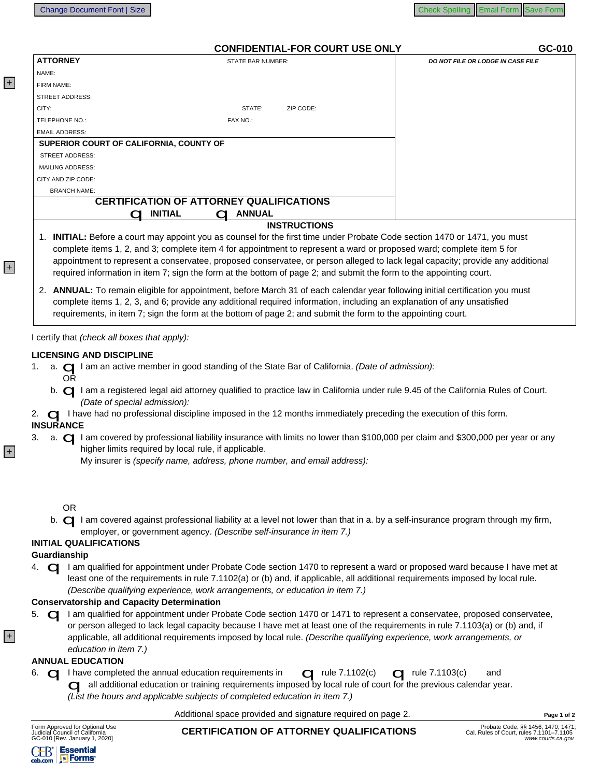$0.010$ 

## CONFIDENTIAL FOR COURT LISE ONLY

|                                         | <u>CONTIDENTIAL-FOR COORT OSE ONE I</u>         | <b>00-010</b>                     |
|-----------------------------------------|-------------------------------------------------|-----------------------------------|
| <b>ATTORNEY</b>                         | STATE BAR NUMBER:                               | DO NOT FILE OR LODGE IN CASE FILE |
| NAME:                                   |                                                 |                                   |
| FIRM NAME:                              |                                                 |                                   |
| <b>STREET ADDRESS:</b>                  |                                                 |                                   |
| CITY:                                   | STATE:<br>ZIP CODE:                             |                                   |
| <b>TELEPHONE NO.:</b>                   | FAX NO.:                                        |                                   |
| <b>EMAIL ADDRESS:</b>                   |                                                 |                                   |
| SUPERIOR COURT OF CALIFORNIA, COUNTY OF |                                                 |                                   |
| <b>STREET ADDRESS:</b>                  |                                                 |                                   |
| <b>MAILING ADDRESS:</b>                 |                                                 |                                   |
| CITY AND ZIP CODE:                      |                                                 |                                   |
| <b>BRANCH NAME:</b>                     |                                                 |                                   |
|                                         | <b>CERTIFICATION OF ATTORNEY QUALIFICATIONS</b> |                                   |
|                                         | <b>ANNUAL</b><br><b>INITIAL</b>                 |                                   |
|                                         | <b>INSTRUCTIONS</b>                             |                                   |

- 1. INITIAL: Before a court may appoint you as counsel for the first time under Probate Code section 1470 or 1471, you must complete items 1, 2, and 3; complete item 4 for appointment to represent a ward or proposed ward; complete item 5 for appointment to represent a conservatee, proposed conservatee, or person alleged to lack legal capacity; provide any additional required information in item 7; sign the form at the bottom of page 2; and submit the form to the appointing court.
- 2. ANNUAL: To remain eligible for appointment, before March 31 of each calendar year following initial certification you must complete items 1, 2, 3, and 6; provide any additional required information, including an explanation of any unsatisfied requirements, in item 7; sign the form at the bottom of page 2; and submit the form to the appointing court.

I certify that (check all boxes that apply):

- LICENSING AND DISCIPLINE<br>1. a. ◯ I am an active member in good standing of the State Bar of California. (Date of admission):<br>OR 1.
	- b. I am a registered legal aid attorney qualified to practice law in California under rule 9.45 of the California Rules of Court.<br>(Date of special admission):
- 2. **Q** I have had no professional discipline imposed in the 12 months immediately preceding the execution of this form.<br>INSURANCE
- a.  $\Box$  I am covered by professional liability insurance with limits no lower than \$100,000 per claim and \$300,000 per year or any higher limits required by local rule, if applicable. 3.
	- My insurer is (specify name, address, phone number, and email address):
	-
	- OR<br>b. **Q** I am covered against professional liability at a level not lower than that in a. by a self-insurance program through my firm,<br>employer, or government agency. (Describe self-insurance in item 7.)

### **INITIAL QUALIFICATIONS**

 $+$ 

 $|+|$ 

 $+$ 

 $|+|$ 

Guardianship<br>4. **C** I am qualified for appointment under Probate Code section 1470 to represent a ward or proposed ward because I have met at<br>least one of the requirements in rule 7.1102(a) or (b) and, if applicable, all a 4. (Describe qualifying experience, work arrangements, or education in item 7.)

Conservatorship and Capacity Determination<br>5. ⊖ I am qualified for appointment under Probate Code section 1470 or 1471 to represent a conservatee, proposed conservatee, 5. or person alleged to lack legal capacity because I have met at least one of the requirements in rule 7.1103(a) or (b) and, if applicable, all additional requirements imposed by local rule. (Describe qualifying experience, work arrangements, or education in item 7.)

- **ANNUAL EDUCATION**<br>6.  $\Box$  I have completed the annual education requirements in  $\Box$  rule 7.1102(c)  $\Box$  rule 7.1103(c) and all additional education or training requirements imposed by local rule of court for the previous calendar year.<br>(List the hours and applicable subjects of completed education in item 7.)
	-

Additional space provided and signature required on page 2.

| Form Approved for Optional Use |  |
|--------------------------------|--|
| Judicial Council of California |  |
| GC-010 [Rev. January 1, 2020]  |  |

# **CERTIFICATION OF ATTORNEY QUALIFICATIONS**

Page 1 of 2